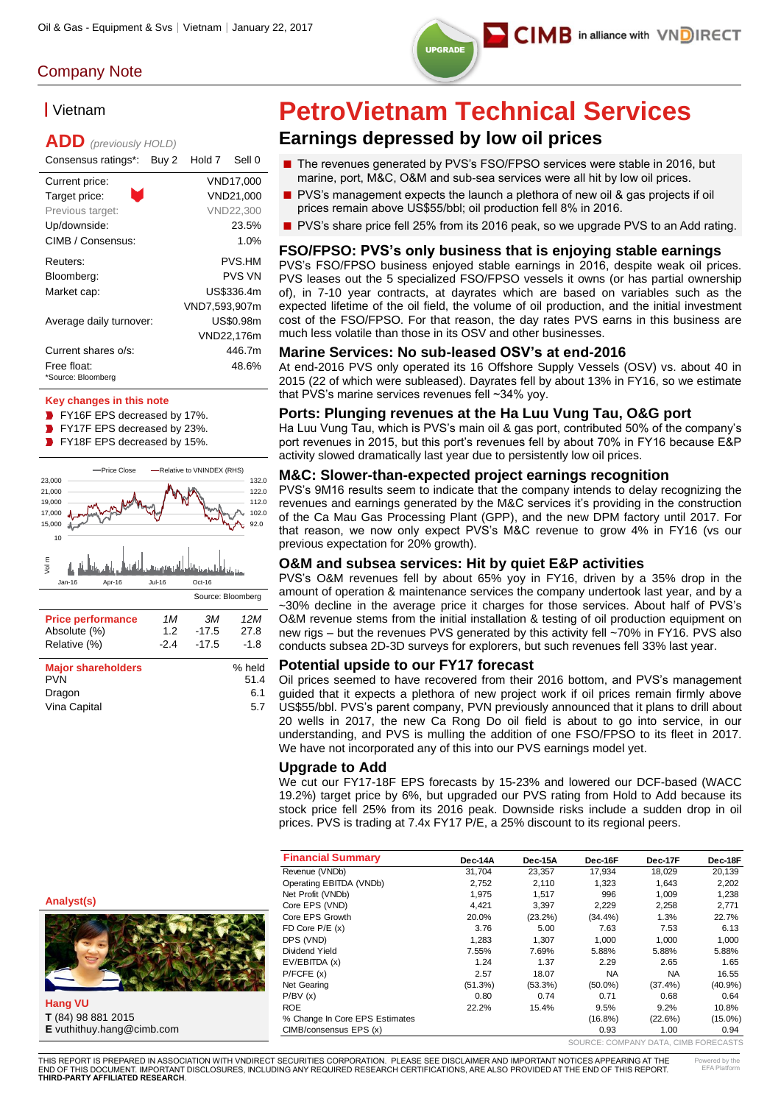

# ▎Vietnam

# **ADD** *(previously HOLD)*

| Consensus ratings*:     | Buy 2 | Hold 7        | Sell 0        |
|-------------------------|-------|---------------|---------------|
| Current price:          |       |               | VND17.000     |
| ÷.<br>Target price:     |       |               | VND21,000     |
| Previous target:        |       |               | VND22,300     |
| Up/downside:            |       |               | 23.5%         |
| CIMB / Consensus:       |       |               | 1.0%          |
| Reuters:                |       |               | PVS.HM        |
| Bloomberg:              |       |               | <b>PVS VN</b> |
| Market cap:             |       |               | US\$336.4m    |
|                         |       | VND7,593,907m |               |
| Average daily turnover: |       |               | US\$0.98m     |
|                         |       |               | VND22,176m    |
| Current shares o/s:     |       |               | 446.7m        |
| Free float:             |       |               | 48.6%         |
| *Source: Bloomberg      |       |               |               |

#### **Key changes in this note**

- **FY16F EPS decreased by 17%.**
- FY17F EPS decreased by 23%.  $\blacksquare$
- **FY18F EPS decreased by 15%.**



| <b>Major shareholders</b> | % held |
|---------------------------|--------|
| <b>PVN</b>                | 51.4   |
| Dragon                    | 6.1    |
| Vina Capital              | 5.7    |
|                           |        |

# **PetroVietnam Technical Services**

# **Earnings depressed by low oil prices**

- The revenues generated by PVS's FSO/FPSO services were stable in 2016, but marine, port, M&C, O&M and sub-sea services were all hit by low oil prices.
- PVS's management expects the launch a plethora of new oil & gas projects if oil prices remain above US\$55/bbl; oil production fell 8% in 2016.
- PVS's share price fell 25% from its 2016 peak, so we upgrade PVS to an Add rating.

#### **FSO/FPSO: PVS's only business that is enjoying stable earnings**

PVS's FSO/FPSO business enjoyed stable earnings in 2016, despite weak oil prices. PVS leases out the 5 specialized FSO/FPSO vessels it owns (or has partial ownership of), in 7-10 year contracts, at dayrates which are based on variables such as the expected lifetime of the oil field, the volume of oil production, and the initial investment cost of the FSO/FPSO. For that reason, the day rates PVS earns in this business are much less volatile than those in its OSV and other businesses.

#### **Marine Services: No sub-leased OSV's at end-2016**

At end-2016 PVS only operated its 16 Offshore Supply Vessels (OSV) vs. about 40 in 2015 (22 of which were subleased). Dayrates fell by about 13% in FY16, so we estimate that PVS's marine services revenues fell ~34% yoy.

#### **Ports: Plunging revenues at the Ha Luu Vung Tau, O&G port**

Ha Luu Vung Tau, which is PVS's main oil & gas port, contributed 50% of the company's port revenues in 2015, but this port's revenues fell by about 70% in FY16 because E&P activity slowed dramatically last year due to persistently low oil prices.

#### **M&C: Slower-than-expected project earnings recognition**

PVS's 9M16 results seem to indicate that the company intends to delay recognizing the revenues and earnings generated by the M&C services it's providing in the construction of the Ca Mau Gas Processing Plant (GPP), and the new DPM factory until 2017. For that reason, we now only expect PVS's M&C revenue to grow 4% in FY16 (vs our previous expectation for 20% growth).

#### **O&M and subsea services: Hit by quiet E&P activities**

PVS's O&M revenues fell by about 65% yoy in FY16, driven by a 35% drop in the amount of operation & maintenance services the company undertook last year, and by a ~30% decline in the average price it charges for those services. About half of PVS's O&M revenue stems from the initial installation & testing of oil production equipment on new rigs – but the revenues PVS generated by this activity fell ~70% in FY16. PVS also conducts subsea 2D-3D surveys for explorers, but such revenues fell 33% last year.

#### **Potential upside to our FY17 forecast**

Oil prices seemed to have recovered from their 2016 bottom, and PVS's management guided that it expects a plethora of new project work if oil prices remain firmly above US\$55/bbl. PVS's parent company, PVN previously announced that it plans to drill about 20 wells in 2017, the new Ca Rong Do oil field is about to go into service, in our understanding, and PVS is mulling the addition of one FSO/FPSO to its fleet in 2017. We have not incorporated any of this into our PVS earnings model yet.

#### **Upgrade to Add**

We cut our FY17-18F EPS forecasts by 15-23% and lowered our DCF-based (WACC 19.2%) target price by 6%, but upgraded our PVS rating from Hold to Add because its stock price fell 25% from its 2016 peak. Downside risks include a sudden drop in oil prices. PVS is trading at 7.4x FY17 P/E, a 25% discount to its regional peers.

| <b>Financial Summary</b>       | Dec-14A | Dec-15A    | Dec-16F                              | Dec-17F    | Dec-18F    |
|--------------------------------|---------|------------|--------------------------------------|------------|------------|
| Revenue (VNDb)                 | 31,704  | 23,357     | 17,934                               | 18,029     | 20,139     |
| Operating EBITDA (VNDb)        | 2,752   | 2,110      | 1,323                                | 1,643      | 2,202      |
| Net Profit (VNDb)              | 1,975   | 1,517      | 996                                  | 1,009      | 1,238      |
| Core EPS (VND)                 | 4,421   | 3,397      | 2,229                                | 2,258      | 2,771      |
| Core EPS Growth                | 20.0%   | $(23.2\%)$ | $(34.4\%)$                           | 1.3%       | 22.7%      |
| FD Core $P/E(x)$               | 3.76    | 5.00       | 7.63                                 | 7.53       | 6.13       |
| DPS (VND)                      | 1,283   | 1.307      | 1.000                                | 1.000      | 1,000      |
| Dividend Yield                 | 7.55%   | 7.69%      | 5.88%                                | 5.88%      | 5.88%      |
| EV/EBITDA (x)                  | 1.24    | 1.37       | 2.29                                 | 2.65       | 1.65       |
| P/FCFE(x)                      | 2.57    | 18.07      | <b>NA</b>                            | <b>NA</b>  | 16.55      |
| <b>Net Gearing</b>             | (51.3%) | $(53.3\%)$ | $(50.0\%)$                           | $(37.4\%)$ | $(40.9\%)$ |
| P/BV(x)                        | 0.80    | 0.74       | 0.71                                 | 0.68       | 0.64       |
| <b>ROE</b>                     | 22.2%   | 15.4%      | 9.5%                                 | $9.2\%$    | 10.8%      |
| % Change In Core EPS Estimates |         |            | $(16.8\%)$                           | (22.6%)    | $(15.0\%)$ |
| CIMB/consensus EPS (x)         |         |            | 0.93                                 | 1.00       | 0.94       |
|                                |         |            | SOURCE: COMPANY DATA, CIMB FORECASTS |            |            |

**Analyst(s)**



**Hang VU T** (84) 98 881 2015 **E** vuthithuy.hang@cimb.com

THIS REPORT IS PREPARED IN ASSOCIATION WITH VNDIRECT SECURITIES CORPORATION. PLEASE SEE DISCLAIMER AND IMPORTANT NOTICES APPEARING AT THE END OF THIS DOCUMENT. IMPORTANT DISCLOSURES, INCLUDING ANY REQUIRED RESEARCH CERTIFICATIONS, ARE ALSO PROVIDED AT THE END OF THIS REPORT. **THIRD-PARTY AFFILIATED RESEARCH**.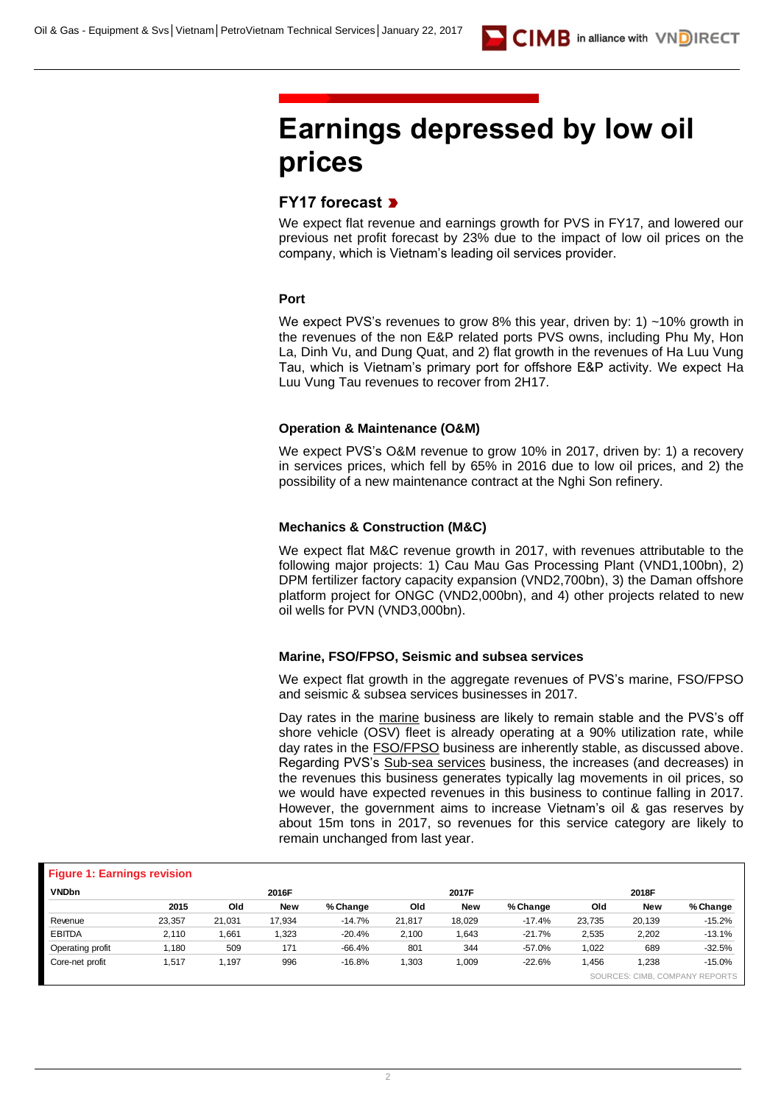# **Earnings depressed by low oil prices**

### **FY17 forecast**

We expect flat revenue and earnings growth for PVS in FY17, and lowered our previous net profit forecast by 23% due to the impact of low oil prices on the company, which is Vietnam's leading oil services provider.

#### **Port**

We expect PVS's revenues to grow 8% this year, driven by: 1) ~10% growth in the revenues of the non E&P related ports PVS owns, including Phu My, Hon La, Dinh Vu, and Dung Quat, and 2) flat growth in the revenues of Ha Luu Vung Tau, which is Vietnam's primary port for offshore E&P activity. We expect Ha Luu Vung Tau revenues to recover from 2H17.

#### **Operation & Maintenance (O&M)**

We expect PVS's O&M revenue to grow 10% in 2017, driven by: 1) a recovery in services prices, which fell by 65% in 2016 due to low oil prices, and 2) the possibility of a new maintenance contract at the Nghi Son refinery.

#### **Mechanics & Construction (M&C)**

We expect flat M&C revenue growth in 2017, with revenues attributable to the following major projects: 1) Cau Mau Gas Processing Plant (VND1,100bn), 2) DPM fertilizer factory capacity expansion (VND2,700bn), 3) the Daman offshore platform project for ONGC (VND2,000bn), and 4) other projects related to new oil wells for PVN (VND3,000bn).

#### **Marine, FSO/FPSO, Seismic and subsea services**

We expect flat growth in the aggregate revenues of PVS's marine, FSO/FPSO and seismic & subsea services businesses in 2017.

Day rates in the marine business are likely to remain stable and the PVS's off shore vehicle (OSV) fleet is already operating at a 90% utilization rate, while day rates in the **FSO/FPSO** business are inherently stable, as discussed above. Regarding PVS's Sub-sea services business, the increases (and decreases) in the revenues this business generates typically lag movements in oil prices, so we would have expected revenues in this business to continue falling in 2017. However, the government aims to increase Vietnam's oil & gas reserves by about 15m tons in 2017, so revenues for this service category are likely to remain unchanged from last year.

| <b>Figure 1: Earnings revision</b> |        |        |            |          |        |            |          |        |            |                                |
|------------------------------------|--------|--------|------------|----------|--------|------------|----------|--------|------------|--------------------------------|
| <b>VNDbn</b>                       |        |        | 2016F      |          |        | 2017F      |          |        | 2018F      |                                |
|                                    | 2015   | Old    | <b>New</b> | % Change | Old    | <b>New</b> | % Change | Old    | <b>New</b> | % Change                       |
| Revenue                            | 23.357 | 21.031 | 17.934     | $-14.7%$ | 21.817 | 18,029     | $-17.4%$ | 23.735 | 20,139     | $-15.2%$                       |
| <b>EBITDA</b>                      | 2.110  | .661   | 1.323      | $-20.4%$ | 2,100  | 1,643      | $-21.7%$ | 2,535  | 2,202      | $-13.1%$                       |
| Operating profit                   | l,180  | 509    | 171        | $-66.4%$ | 801    | 344        | $-57.0%$ | 1,022  | 689        | $-32.5%$                       |
| Core-net profit                    | 1,517  | 1,197  | 996        | $-16.8%$ | 1,303  | 1,009      | $-22.6%$ | .456   | 1,238      | $-15.0%$                       |
|                                    |        |        |            |          |        |            |          |        |            | SOURCES: CIMB. COMPANY REPORTS |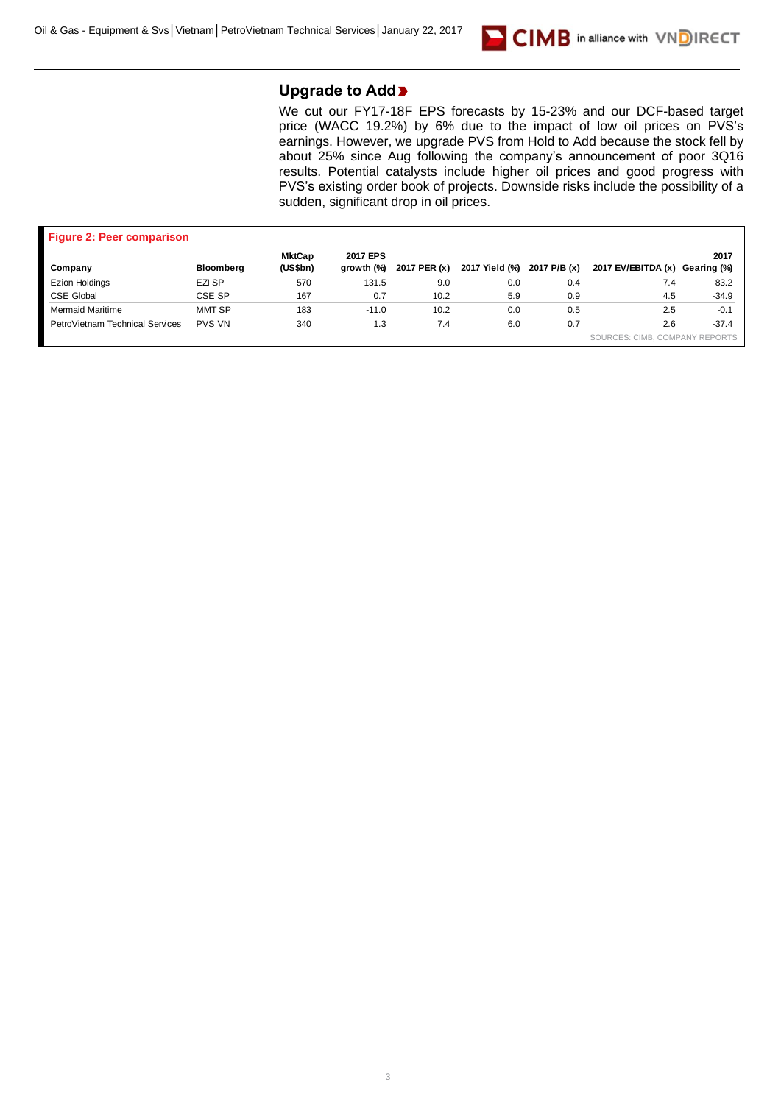

## **Upgrade to Add**

We cut our FY17-18F EPS forecasts by 15-23% and our DCF-based target price (WACC 19.2%) by 6% due to the impact of low oil prices on PVS's earnings. However, we upgrade PVS from Hold to Add because the stock fell by about 25% since Aug following the company's announcement of poor 3Q16 results. Potential catalysts include higher oil prices and good progress with PVS's existing order book of projects. Downside risks include the possibility of a sudden, significant drop in oil prices.

| <b>Figure 2: Peer comparison</b> |                  |                           |                        |              |                |              |                                |         |
|----------------------------------|------------------|---------------------------|------------------------|--------------|----------------|--------------|--------------------------------|---------|
| Company                          | <b>Bloomberg</b> | <b>MktCap</b><br>(US\$bn) | 2017 EPS<br>growth (%) | 2017 PER (x) | 2017 Yield (%) | 2017 P/B (x) | 2017 EV/EBITDA (x) Gearing (%) | 2017    |
| <b>Ezion Holdings</b>            | EZI SP           | 570                       | 131.5                  | 9.0          | 0.0            | 0.4          | 7.4                            | 83.2    |
| <b>CSE Global</b>                | CSE SP           | 167                       | 0.7                    | 10.2         | 5.9            | 0.9          | 4.5                            | $-34.9$ |
| <b>Mermaid Maritime</b>          | MMT SP           | 183                       | $-11.0$                | 10.2         | 0.0            | 0.5          | 2.5                            | $-0.1$  |
| PetroVietnam Technical Services  | <b>PVS VN</b>    | 340                       | 1.3                    | 7.4          | 6.0            | 0.7          | 2.6                            | $-37.4$ |
|                                  |                  |                           |                        |              |                |              | SOURCES: CIMB. COMPANY REPORTS |         |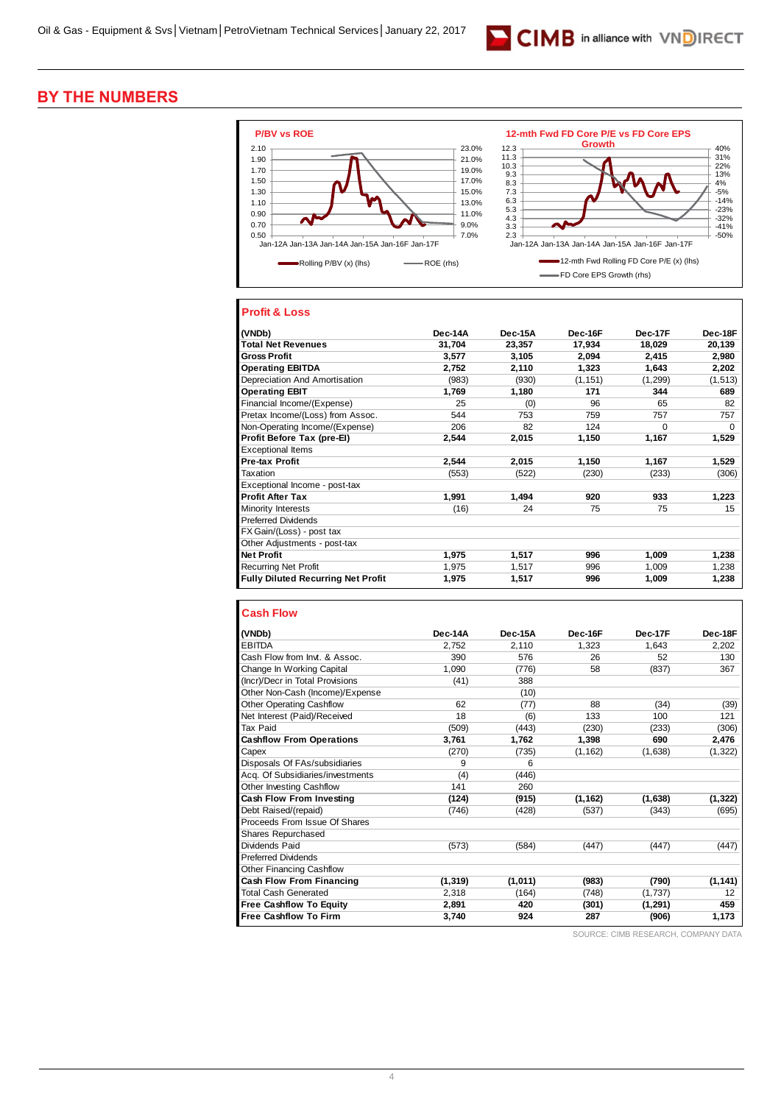

## **BY THE NUMBERS**



#### **Profit & Loss**

| (VNDb)                                    | Dec-14A | Dec-15A | Dec-16F  | Dec-17F  | Dec-18F  |
|-------------------------------------------|---------|---------|----------|----------|----------|
| <b>Total Net Revenues</b>                 | 31,704  | 23,357  | 17,934   | 18,029   | 20,139   |
| <b>Gross Profit</b>                       | 3,577   | 3,105   | 2,094    | 2,415    | 2,980    |
| <b>Operating EBITDA</b>                   | 2,752   | 2,110   | 1,323    | 1,643    | 2,202    |
| Depreciation And Amortisation             | (983)   | (930)   | (1, 151) | (1,299)  | (1, 513) |
| <b>Operating EBIT</b>                     | 1,769   | 1,180   | 171      | 344      | 689      |
| Financial Income/(Expense)                | 25      | (0)     | 96       | 65       | 82       |
| Pretax Income/(Loss) from Assoc.          | 544     | 753     | 759      | 757      | 757      |
| Non-Operating Income/(Expense)            | 206     | 82      | 124      | $\Omega$ | $\Omega$ |
| Profit Before Tax (pre-El)                | 2.544   | 2,015   | 1,150    | 1,167    | 1,529    |
| <b>Exceptional Items</b>                  |         |         |          |          |          |
| <b>Pre-tax Profit</b>                     | 2.544   | 2,015   | 1,150    | 1,167    | 1,529    |
| Taxation                                  | (553)   | (522)   | (230)    | (233)    | (306)    |
| Exceptional Income - post-tax             |         |         |          |          |          |
| <b>Profit After Tax</b>                   | 1,991   | 1.494   | 920      | 933      | 1,223    |
| Minority Interests                        | (16)    | 24      | 75       | 75       | 15       |
| <b>Preferred Dividends</b>                |         |         |          |          |          |
| FX Gain/(Loss) - post tax                 |         |         |          |          |          |
| Other Adjustments - post-tax              |         |         |          |          |          |
| <b>Net Profit</b>                         | 1.975   | 1,517   | 996      | 1.009    | 1,238    |
| <b>Recurring Net Profit</b>               | 1,975   | 1,517   | 996      | 1,009    | 1,238    |
| <b>Fully Diluted Recurring Net Profit</b> | 1,975   | 1,517   | 996      | 1,009    | 1,238    |

#### **Cash Flow**

| (VNDb)                           | Dec-14A  | Dec-15A | Dec-16F  | Dec-17F  | Dec-18F  |
|----------------------------------|----------|---------|----------|----------|----------|
| <b>EBITDA</b>                    | 2.752    | 2.110   | 1.323    | 1.643    | 2,202    |
| Cash Flow from Invt. & Assoc.    | 390      | 576     | 26       | 52       | 130      |
| Change In Working Capital        | 1.090    | (776)   | 58       | (837)    | 367      |
| (Incr)/Decr in Total Provisions  | (41)     | 388     |          |          |          |
| Other Non-Cash (Income)/Expense  |          | (10)    |          |          |          |
| <b>Other Operating Cashflow</b>  | 62       | (77)    | 88       | (34)     | (39)     |
| Net Interest (Paid)/Received     | 18       | (6)     | 133      | 100      | 121      |
| <b>Tax Paid</b>                  | (509)    | (443)   | (230)    | (233)    | (306)    |
| <b>Cashflow From Operations</b>  | 3,761    | 1,762   | 1,398    | 690      | 2,476    |
| Capex                            | (270)    | (735)   | (1, 162) | (1,638)  | (1, 322) |
| Disposals Of FAs/subsidiaries    | 9        | 6       |          |          |          |
| Acq. Of Subsidiaries/investments | (4)      | (446)   |          |          |          |
| Other Investing Cashflow         | 141      | 260     |          |          |          |
| <b>Cash Flow From Investing</b>  | (124)    | (915)   | (1, 162) | (1,638)  | (1, 322) |
| Debt Raised/(repaid)             | (746)    | (428)   | (537)    | (343)    | (695)    |
| Proceeds From Issue Of Shares    |          |         |          |          |          |
| Shares Repurchased               |          |         |          |          |          |
| Dividends Paid                   | (573)    | (584)   | (447)    | (447)    | (447)    |
| <b>Preferred Dividends</b>       |          |         |          |          |          |
| <b>Other Financing Cashflow</b>  |          |         |          |          |          |
| <b>Cash Flow From Financing</b>  | (1, 319) | (1,011) | (983)    | (790)    | (1, 141) |
| <b>Total Cash Generated</b>      | 2.318    | (164)   | (748)    | (1,737)  | 12       |
| <b>Free Cashflow To Equity</b>   | 2,891    | 420     | (301)    | (1, 291) | 459      |
| <b>Free Cashflow To Firm</b>     | 3,740    | 924     | 287      | (906)    | 1,173    |

SOURCE: CIMB RESEARCH, COMPANY DATA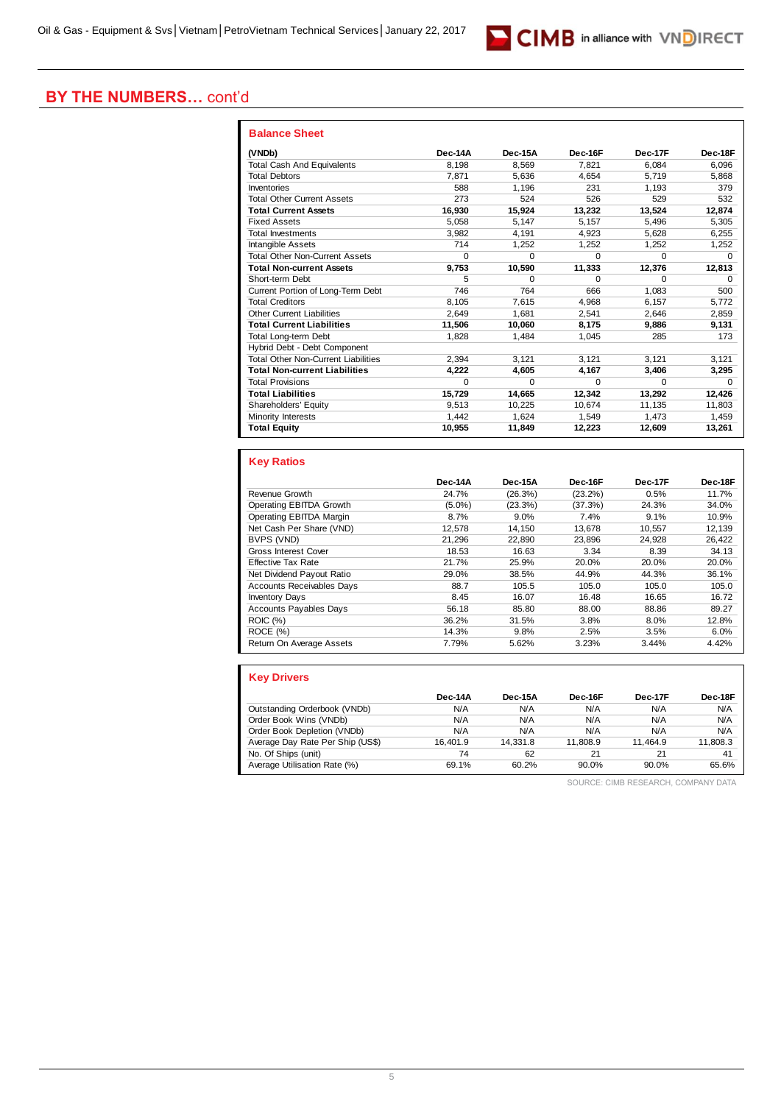# CIMB in alliance with VNDIRECT

#### **BY THE NUMBERS…** cont'd

| <b>Balance Sheet</b>                       |          |          |          |              |         |
|--------------------------------------------|----------|----------|----------|--------------|---------|
| (VNDb)                                     | Dec-14A  | Dec-15A  | Dec-16F  | Dec-17F      | Dec-18F |
| <b>Total Cash And Equivalents</b>          | 8.198    | 8.569    | 7.821    | 6.084        | 6.096   |
| <b>Total Debtors</b>                       | 7.871    | 5.636    | 4.654    | 5,719        | 5,868   |
| Inventories                                | 588      | 1.196    | 231      | 1.193        | 379     |
| <b>Total Other Current Assets</b>          | 273      | 524      | 526      | 529          | 532     |
| <b>Total Current Assets</b>                | 16.930   | 15.924   | 13,232   | 13,524       | 12,874  |
| <b>Fixed Assets</b>                        | 5.058    | 5.147    | 5.157    | 5,496        | 5,305   |
| <b>Total Investments</b>                   | 3.982    | 4.191    | 4.923    | 5.628        | 6,255   |
| <b>Intangible Assets</b>                   | 714      | 1,252    | 1,252    | 1,252        | 1,252   |
| <b>Total Other Non-Current Assets</b>      | $\Omega$ | $\Omega$ | $\Omega$ | $\Omega$     | 0       |
| <b>Total Non-current Assets</b>            | 9.753    | 10,590   | 11,333   | 12.376       | 12,813  |
| Short-term Debt                            | 5        | $\Omega$ | $\Omega$ | $\Omega$     | 0       |
| Current Portion of Long-Term Debt          | 746      | 764      | 666      | 1.083        | 500     |
| <b>Total Creditors</b>                     | 8.105    | 7,615    | 4,968    | 6,157        | 5,772   |
| <b>Other Current Liabilities</b>           | 2.649    | 1.681    | 2.541    | 2,646        | 2,859   |
| <b>Total Current Liabilities</b>           | 11.506   | 10.060   | 8.175    | 9.886        | 9,131   |
| <b>Total Long-term Debt</b>                | 1,828    | 1.484    | 1,045    | 285          | 173     |
| Hybrid Debt - Debt Component               |          |          |          |              |         |
| <b>Total Other Non-Current Liabilities</b> | 2.394    | 3.121    | 3.121    | 3.121        | 3,121   |
| <b>Total Non-current Liabilities</b>       | 4,222    | 4,605    | 4.167    | 3.406        | 3,295   |
| <b>Total Provisions</b>                    | $\Omega$ | $\Omega$ | $\Omega$ | <sup>0</sup> | 0       |
| <b>Total Liabilities</b>                   | 15.729   | 14.665   | 12,342   | 13,292       | 12,426  |
| Shareholders' Equity                       | 9.513    | 10.225   | 10.674   | 11,135       | 11,803  |
| Minority Interests                         | 1.442    | 1.624    | 1.549    | 1.473        | 1.459   |
| <b>Total Equity</b>                        | 10,955   | 11,849   | 12,223   | 12,609       | 13,261  |

#### **Key Ratios Dec-14A Dec-15A Dec-16F Dec-17F Dec-18F** Revenue Growth 24.7% (26.3%) (23.2%) 0.5% 11.7%<br>
Operating EBITDA Growth (5.0%) (23.3%) (37.3%) 24.3% 34.0% **Operating EBITDA Growth** Operating EBITDA Margin 8.7% 9.0% 7.4% 9.1% 10.9% Net Cash Per Share (VND) 12,578 14,150 13,678 10,557 12,139 Proposition BVPS (VND) 21,296 22,890 23,896 24,928 26,422<br>
Gross Interest Cover 28,53 16.63 3.34 8.39 34.13 Gross Interest Cover Effective Tax Rate 21.7% 25.9% 20.0% 20.0% 20.0% 20.0% 20.0% 20.0% 20.0% 20.0% 20.0% 20.0% 20.0% 20.0% 20.0% 20.0% 20.0% 20.0% 20.0% 20.0% 20.0% 20.0% 20.0% 20.0% 20.0% 20.0% 20.0% 20.0% 20.0% 20.0% 20.0% 20.0% 20.0% 20.0% Net Dividend Payout Ratio 29.0% 38.5% 44.9% 44.3% 36.1%<br>
Accounts Receivables Days 88.7 105.5 105.0 105.0 105.0 Accounts Receivables Days Inventory Days 16.72<br>
Accounts Pavables Days 16.85 16.85 16.85 16.85 16.85 16.72<br>
Accounts Pavables Days 16.86 189.27 Accounts Payables Days 56.18 85.80 88.00<br>ROIC (%) 36.27 85.80 88.00 ROIC (%) 36.2% 31.5% 3.8% 8.0% 12.8% ROCE (%) 14.3% 9.8% 2.5% 3.5% 6.0% Return On Average Assets 7.79% 5.62% 3.23% 3.44% 4.42%

| <b>Key Drivers</b>               |          |          |          |          |          |
|----------------------------------|----------|----------|----------|----------|----------|
|                                  | Dec-14A  | Dec-15A  | Dec-16F  | Dec-17F  | Dec-18F  |
| Outstanding Orderbook (VNDb)     | N/A      | N/A      | N/A      | N/A      | N/A      |
| Order Book Wins (VNDb)           | N/A      | N/A      | N/A      | N/A      | N/A      |
| Order Book Depletion (VNDb)      | N/A      | N/A      | N/A      | N/A      | N/A      |
| Average Day Rate Per Ship (US\$) | 16.401.9 | 14.331.8 | 11.808.9 | 11.464.9 | 11,808.3 |
| No. Of Ships (unit)              | 74       | 62       | 21       | 21       | 41       |
| Average Utilisation Rate (%)     | 69.1%    | 60.2%    | 90.0%    | $90.0\%$ | 65.6%    |

SOURCE: CIMB RESEARCH, COMPANY DATA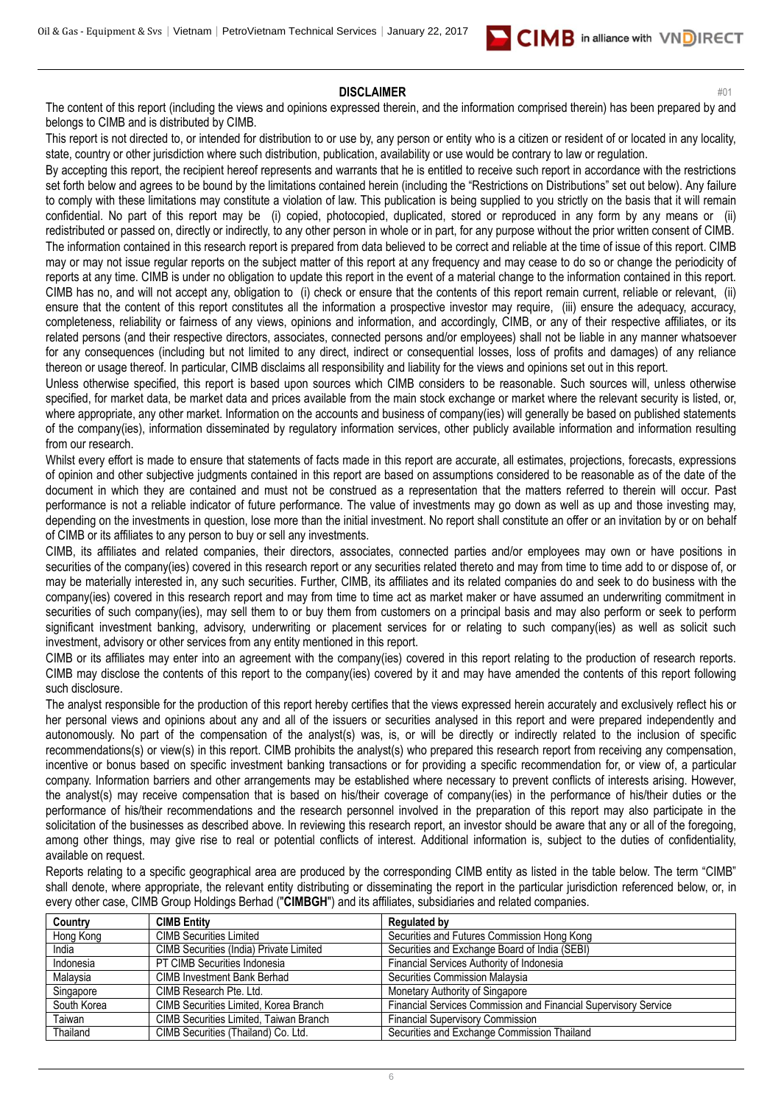

#### **DISCLAIMER** #01

The content of this report (including the views and opinions expressed therein, and the information comprised therein) has been prepared by and belongs to CIMB and is distributed by CIMB.

This report is not directed to, or intended for distribution to or use by, any person or entity who is a citizen or resident of or located in any locality, state, country or other jurisdiction where such distribution, publication, availability or use would be contrary to law or regulation.

By accepting this report, the recipient hereof represents and warrants that he is entitled to receive such report in accordance with the restrictions set forth below and agrees to be bound by the limitations contained herein (including the "Restrictions on Distributions" set out below). Any failure to comply with these limitations may constitute a violation of law. This publication is being supplied to you strictly on the basis that it will remain confidential. No part of this report may be (i) copied, photocopied, duplicated, stored or reproduced in any form by any means or (ii) redistributed or passed on, directly or indirectly, to any other person in whole or in part, for any purpose without the prior written consent of CIMB. The information contained in this research report is prepared from data believed to be correct and reliable at the time of issue of this report. CIMB may or may not issue regular reports on the subject matter of this report at any frequency and may cease to do so or change the periodicity of reports at any time. CIMB is under no obligation to update this report in the event of a material change to the information contained in this report. CIMB has no, and will not accept any, obligation to (i) check or ensure that the contents of this report remain current, reliable or relevant, (ii) ensure that the content of this report constitutes all the information a prospective investor may require, (iii) ensure the adequacy, accuracy, completeness, reliability or fairness of any views, opinions and information, and accordingly, CIMB, or any of their respective affiliates, or its related persons (and their respective directors, associates, connected persons and/or employees) shall not be liable in any manner whatsoever for any consequences (including but not limited to any direct, indirect or consequential losses, loss of profits and damages) of any reliance thereon or usage thereof. In particular, CIMB disclaims all responsibility and liability for the views and opinions set out in this report.

Unless otherwise specified, this report is based upon sources which CIMB considers to be reasonable. Such sources will, unless otherwise specified, for market data, be market data and prices available from the main stock exchange or market where the relevant security is listed, or, where appropriate, any other market. Information on the accounts and business of company(ies) will generally be based on published statements of the company(ies), information disseminated by regulatory information services, other publicly available information and information resulting from our research.

Whilst every effort is made to ensure that statements of facts made in this report are accurate, all estimates, projections, forecasts, expressions of opinion and other subjective judgments contained in this report are based on assumptions considered to be reasonable as of the date of the document in which they are contained and must not be construed as a representation that the matters referred to therein will occur. Past performance is not a reliable indicator of future performance. The value of investments may go down as well as up and those investing may, depending on the investments in question, lose more than the initial investment. No report shall constitute an offer or an invitation by or on behalf of CIMB or its affiliates to any person to buy or sell any investments.

CIMB, its affiliates and related companies, their directors, associates, connected parties and/or employees may own or have positions in securities of the company(ies) covered in this research report or any securities related thereto and may from time to time add to or dispose of, or may be materially interested in, any such securities. Further, CIMB, its affiliates and its related companies do and seek to do business with the company(ies) covered in this research report and may from time to time act as market maker or have assumed an underwriting commitment in securities of such company(ies), may sell them to or buy them from customers on a principal basis and may also perform or seek to perform significant investment banking, advisory, underwriting or placement services for or relating to such company(ies) as well as solicit such investment, advisory or other services from any entity mentioned in this report.

CIMB or its affiliates may enter into an agreement with the company(ies) covered in this report relating to the production of research reports. CIMB may disclose the contents of this report to the company(ies) covered by it and may have amended the contents of this report following such disclosure.

The analyst responsible for the production of this report hereby certifies that the views expressed herein accurately and exclusively reflect his or her personal views and opinions about any and all of the issuers or securities analysed in this report and were prepared independently and autonomously. No part of the compensation of the analyst(s) was, is, or will be directly or indirectly related to the inclusion of specific recommendations(s) or view(s) in this report. CIMB prohibits the analyst(s) who prepared this research report from receiving any compensation, incentive or bonus based on specific investment banking transactions or for providing a specific recommendation for, or view of, a particular company. Information barriers and other arrangements may be established where necessary to prevent conflicts of interests arising. However, the analyst(s) may receive compensation that is based on his/their coverage of company(ies) in the performance of his/their duties or the performance of his/their recommendations and the research personnel involved in the preparation of this report may also participate in the solicitation of the businesses as described above. In reviewing this research report, an investor should be aware that any or all of the foregoing, among other things, may give rise to real or potential conflicts of interest. Additional information is, subject to the duties of confidentiality, available on request.

Reports relating to a specific geographical area are produced by the corresponding CIMB entity as listed in the table below. The term "CIMB" shall denote, where appropriate, the relevant entity distributing or disseminating the report in the particular jurisdiction referenced below, or, in every other case, CIMB Group Holdings Berhad ("**CIMBGH**") and its affiliates, subsidiaries and related companies.

| Country     | <b>CIMB Entity</b>                      | <b>Regulated by</b>                                             |
|-------------|-----------------------------------------|-----------------------------------------------------------------|
| Hong Kong   | <b>CIMB Securities Limited</b>          | Securities and Futures Commission Hong Kong                     |
| India       | CIMB Securities (India) Private Limited | Securities and Exchange Board of India (SEBI)                   |
| Indonesia   | PT CIMB Securities Indonesia            | Financial Services Authority of Indonesia                       |
| Malavsia    | <b>CIMB Investment Bank Berhad</b>      | Securities Commission Malaysia                                  |
| Singapore   | CIMB Research Pte. Ltd.                 | Monetary Authority of Singapore                                 |
| South Korea | CIMB Securities Limited, Korea Branch   | Financial Services Commission and Financial Supervisory Service |
| Taiwan      | CIMB Securities Limited, Taiwan Branch  | <b>Financial Supervisory Commission</b>                         |
| Thailand    | CIMB Securities (Thailand) Co. Ltd.     | Securities and Exchange Commission Thailand                     |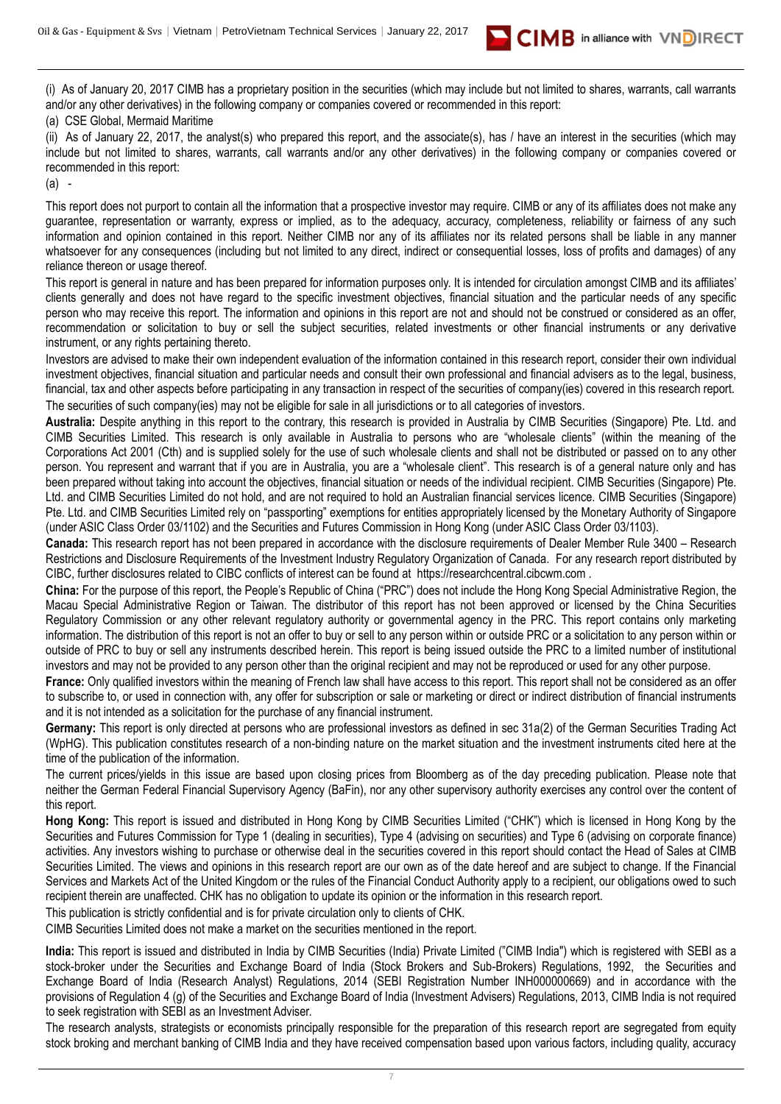

(i) As of January 20, 2017 CIMB has a proprietary position in the securities (which may include but not limited to shares, warrants, call warrants and/or any other derivatives) in the following company or companies covered or recommended in this report:

#### (a) CSE Global, Mermaid Maritime

(ii) As of January 22, 2017, the analyst(s) who prepared this report, and the associate(s), has / have an interest in the securities (which may include but not limited to shares, warrants, call warrants and/or any other derivatives) in the following company or companies covered or recommended in this report:

(a) -

This report does not purport to contain all the information that a prospective investor may require. CIMB or any of its affiliates does not make any guarantee, representation or warranty, express or implied, as to the adequacy, accuracy, completeness, reliability or fairness of any such information and opinion contained in this report. Neither CIMB nor any of its affiliates nor its related persons shall be liable in any manner whatsoever for any consequences (including but not limited to any direct, indirect or consequential losses, loss of profits and damages) of any reliance thereon or usage thereof.

This report is general in nature and has been prepared for information purposes only. It is intended for circulation amongst CIMB and its affiliates' clients generally and does not have regard to the specific investment objectives, financial situation and the particular needs of any specific person who may receive this report. The information and opinions in this report are not and should not be construed or considered as an offer, recommendation or solicitation to buy or sell the subject securities, related investments or other financial instruments or any derivative instrument, or any rights pertaining thereto.

Investors are advised to make their own independent evaluation of the information contained in this research report, consider their own individual investment objectives, financial situation and particular needs and consult their own professional and financial advisers as to the legal, business, financial, tax and other aspects before participating in any transaction in respect of the securities of company(ies) covered in this research report. The securities of such company(ies) may not be eligible for sale in all jurisdictions or to all categories of investors.

**Australia:** Despite anything in this report to the contrary, this research is provided in Australia by CIMB Securities (Singapore) Pte. Ltd. and CIMB Securities Limited. This research is only available in Australia to persons who are "wholesale clients" (within the meaning of the Corporations Act 2001 (Cth) and is supplied solely for the use of such wholesale clients and shall not be distributed or passed on to any other person. You represent and warrant that if you are in Australia, you are a "wholesale client". This research is of a general nature only and has been prepared without taking into account the objectives, financial situation or needs of the individual recipient. CIMB Securities (Singapore) Pte. Ltd. and CIMB Securities Limited do not hold, and are not required to hold an Australian financial services licence. CIMB Securities (Singapore) Pte. Ltd. and CIMB Securities Limited rely on "passporting" exemptions for entities appropriately licensed by the Monetary Authority of Singapore (under ASIC Class Order 03/1102) and the Securities and Futures Commission in Hong Kong (under ASIC Class Order 03/1103).

**Canada:** This research report has not been prepared in accordance with the disclosure requirements of Dealer Member Rule 3400 – Research Restrictions and Disclosure Requirements of the Investment Industry Regulatory Organization of Canada. For any research report distributed by CIBC, further disclosures related to CIBC conflicts of interest can be found at https://researchcentral.cibcwm.com .

**China:** For the purpose of this report, the People's Republic of China ("PRC") does not include the Hong Kong Special Administrative Region, the Macau Special Administrative Region or Taiwan. The distributor of this report has not been approved or licensed by the China Securities Regulatory Commission or any other relevant regulatory authority or governmental agency in the PRC. This report contains only marketing information. The distribution of this report is not an offer to buy or sell to any person within or outside PRC or a solicitation to any person within or outside of PRC to buy or sell any instruments described herein. This report is being issued outside the PRC to a limited number of institutional investors and may not be provided to any person other than the original recipient and may not be reproduced or used for any other purpose.

France: Only qualified investors within the meaning of French law shall have access to this report. This report shall not be considered as an offer to subscribe to, or used in connection with, any offer for subscription or sale or marketing or direct or indirect distribution of financial instruments and it is not intended as a solicitation for the purchase of any financial instrument.

**Germany:** This report is only directed at persons who are professional investors as defined in sec 31a(2) of the German Securities Trading Act (WpHG). This publication constitutes research of a non-binding nature on the market situation and the investment instruments cited here at the time of the publication of the information.

The current prices/yields in this issue are based upon closing prices from Bloomberg as of the day preceding publication. Please note that neither the German Federal Financial Supervisory Agency (BaFin), nor any other supervisory authority exercises any control over the content of this report.

**Hong Kong:** This report is issued and distributed in Hong Kong by CIMB Securities Limited ("CHK") which is licensed in Hong Kong by the Securities and Futures Commission for Type 1 (dealing in securities), Type 4 (advising on securities) and Type 6 (advising on corporate finance) activities. Any investors wishing to purchase or otherwise deal in the securities covered in this report should contact the Head of Sales at CIMB Securities Limited. The views and opinions in this research report are our own as of the date hereof and are subject to change. If the Financial Services and Markets Act of the United Kingdom or the rules of the Financial Conduct Authority apply to a recipient, our obligations owed to such recipient therein are unaffected. CHK has no obligation to update its opinion or the information in this research report.

This publication is strictly confidential and is for private circulation only to clients of CHK.

CIMB Securities Limited does not make a market on the securities mentioned in the report.

**India:** This report is issued and distributed in India by CIMB Securities (India) Private Limited ("CIMB India") which is registered with SEBI as a stock-broker under the Securities and Exchange Board of India (Stock Brokers and Sub-Brokers) Regulations, 1992, the Securities and Exchange Board of India (Research Analyst) Regulations, 2014 (SEBI Registration Number INH000000669) and in accordance with the provisions of Regulation 4 (g) of the Securities and Exchange Board of India (Investment Advisers) Regulations, 2013, CIMB India is not required to seek registration with SEBI as an Investment Adviser.

The research analysts, strategists or economists principally responsible for the preparation of this research report are segregated from equity stock broking and merchant banking of CIMB India and they have received compensation based upon various factors, including quality, accuracy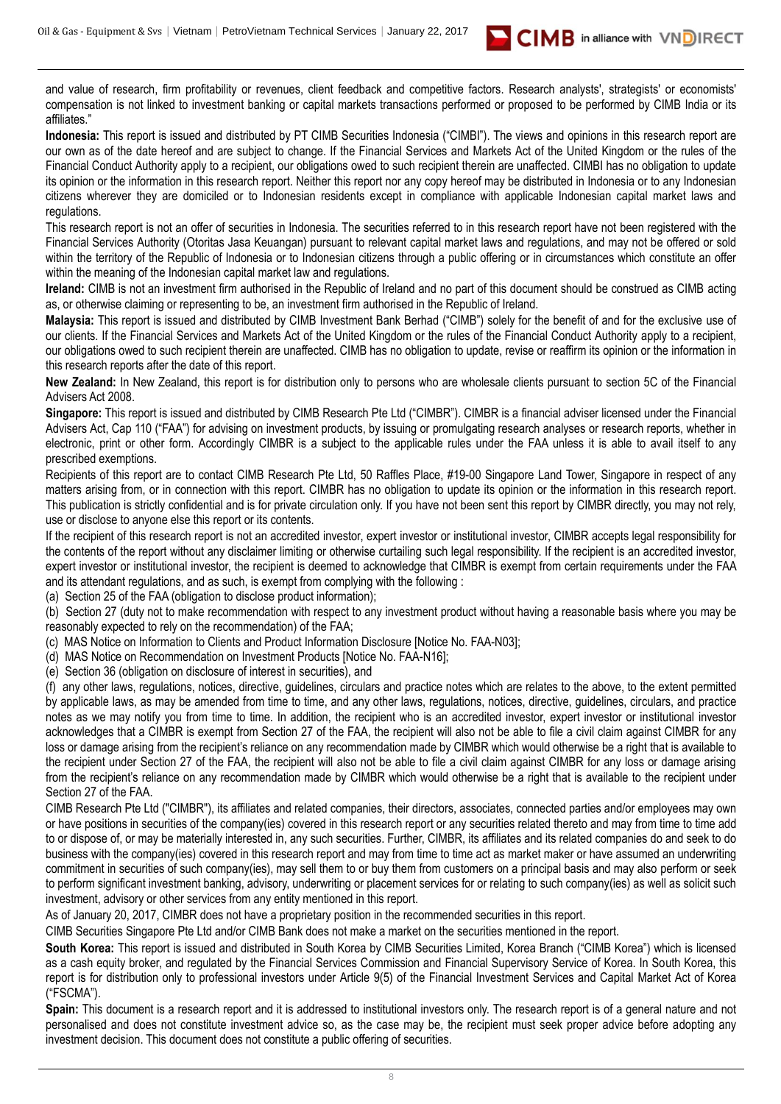and value of research, firm profitability or revenues, client feedback and competitive factors. Research analysts', strategists' or economists' compensation is not linked to investment banking or capital markets transactions performed or proposed to be performed by CIMB India or its affiliates."

**Indonesia:** This report is issued and distributed by PT CIMB Securities Indonesia ("CIMBI"). The views and opinions in this research report are our own as of the date hereof and are subject to change. If the Financial Services and Markets Act of the United Kingdom or the rules of the Financial Conduct Authority apply to a recipient, our obligations owed to such recipient therein are unaffected. CIMBI has no obligation to update its opinion or the information in this research report. Neither this report nor any copy hereof may be distributed in Indonesia or to any Indonesian citizens wherever they are domiciled or to Indonesian residents except in compliance with applicable Indonesian capital market laws and regulations.

This research report is not an offer of securities in Indonesia. The securities referred to in this research report have not been registered with the Financial Services Authority (Otoritas Jasa Keuangan) pursuant to relevant capital market laws and regulations, and may not be offered or sold within the territory of the Republic of Indonesia or to Indonesian citizens through a public offering or in circumstances which constitute an offer within the meaning of the Indonesian capital market law and regulations.

**Ireland:** CIMB is not an investment firm authorised in the Republic of Ireland and no part of this document should be construed as CIMB acting as, or otherwise claiming or representing to be, an investment firm authorised in the Republic of Ireland.

**Malaysia:** This report is issued and distributed by CIMB Investment Bank Berhad ("CIMB") solely for the benefit of and for the exclusive use of our clients. If the Financial Services and Markets Act of the United Kingdom or the rules of the Financial Conduct Authority apply to a recipient, our obligations owed to such recipient therein are unaffected. CIMB has no obligation to update, revise or reaffirm its opinion or the information in this research reports after the date of this report.

**New Zealand:** In New Zealand, this report is for distribution only to persons who are wholesale clients pursuant to section 5C of the Financial Advisers Act 2008.

**Singapore:** This report is issued and distributed by CIMB Research Pte Ltd ("CIMBR"). CIMBR is a financial adviser licensed under the Financial Advisers Act, Cap 110 ("FAA") for advising on investment products, by issuing or promulgating research analyses or research reports, whether in electronic, print or other form. Accordingly CIMBR is a subject to the applicable rules under the FAA unless it is able to avail itself to any prescribed exemptions.

Recipients of this report are to contact CIMB Research Pte Ltd, 50 Raffles Place, #19-00 Singapore Land Tower, Singapore in respect of any matters arising from, or in connection with this report. CIMBR has no obligation to update its opinion or the information in this research report. This publication is strictly confidential and is for private circulation only. If you have not been sent this report by CIMBR directly, you may not rely, use or disclose to anyone else this report or its contents.

If the recipient of this research report is not an accredited investor, expert investor or institutional investor, CIMBR accepts legal responsibility for the contents of the report without any disclaimer limiting or otherwise curtailing such legal responsibility. If the recipient is an accredited investor, expert investor or institutional investor, the recipient is deemed to acknowledge that CIMBR is exempt from certain requirements under the FAA and its attendant regulations, and as such, is exempt from complying with the following :

(a) Section 25 of the FAA (obligation to disclose product information);

(b) Section 27 (duty not to make recommendation with respect to any investment product without having a reasonable basis where you may be reasonably expected to rely on the recommendation) of the FAA;

(c) MAS Notice on Information to Clients and Product Information Disclosure [Notice No. FAA-N03];

(d) MAS Notice on Recommendation on Investment Products [Notice No. FAA-N16];

(e) Section 36 (obligation on disclosure of interest in securities), and

(f) any other laws, regulations, notices, directive, guidelines, circulars and practice notes which are relates to the above, to the extent permitted by applicable laws, as may be amended from time to time, and any other laws, regulations, notices, directive, guidelines, circulars, and practice notes as we may notify you from time to time. In addition, the recipient who is an accredited investor, expert investor or institutional investor acknowledges that a CIMBR is exempt from Section 27 of the FAA, the recipient will also not be able to file a civil claim against CIMBR for any loss or damage arising from the recipient's reliance on any recommendation made by CIMBR which would otherwise be a right that is available to the recipient under Section 27 of the FAA, the recipient will also not be able to file a civil claim against CIMBR for any loss or damage arising from the recipient's reliance on any recommendation made by CIMBR which would otherwise be a right that is available to the recipient under Section 27 of the FAA.

CIMB Research Pte Ltd ("CIMBR"), its affiliates and related companies, their directors, associates, connected parties and/or employees may own or have positions in securities of the company(ies) covered in this research report or any securities related thereto and may from time to time add to or dispose of, or may be materially interested in, any such securities. Further, CIMBR, its affiliates and its related companies do and seek to do business with the company(ies) covered in this research report and may from time to time act as market maker or have assumed an underwriting commitment in securities of such company(ies), may sell them to or buy them from customers on a principal basis and may also perform or seek to perform significant investment banking, advisory, underwriting or placement services for or relating to such company(ies) as well as solicit such investment, advisory or other services from any entity mentioned in this report.

As of January 20, 2017, CIMBR does not have a proprietary position in the recommended securities in this report.

CIMB Securities Singapore Pte Ltd and/or CIMB Bank does not make a market on the securities mentioned in the report.

**South Korea:** This report is issued and distributed in South Korea by CIMB Securities Limited, Korea Branch ("CIMB Korea") which is licensed as a cash equity broker, and regulated by the Financial Services Commission and Financial Supervisory Service of Korea. In South Korea, this report is for distribution only to professional investors under Article 9(5) of the Financial Investment Services and Capital Market Act of Korea ("FSCMA").

**Spain:** This document is a research report and it is addressed to institutional investors only. The research report is of a general nature and not personalised and does not constitute investment advice so, as the case may be, the recipient must seek proper advice before adopting any investment decision. This document does not constitute a public offering of securities.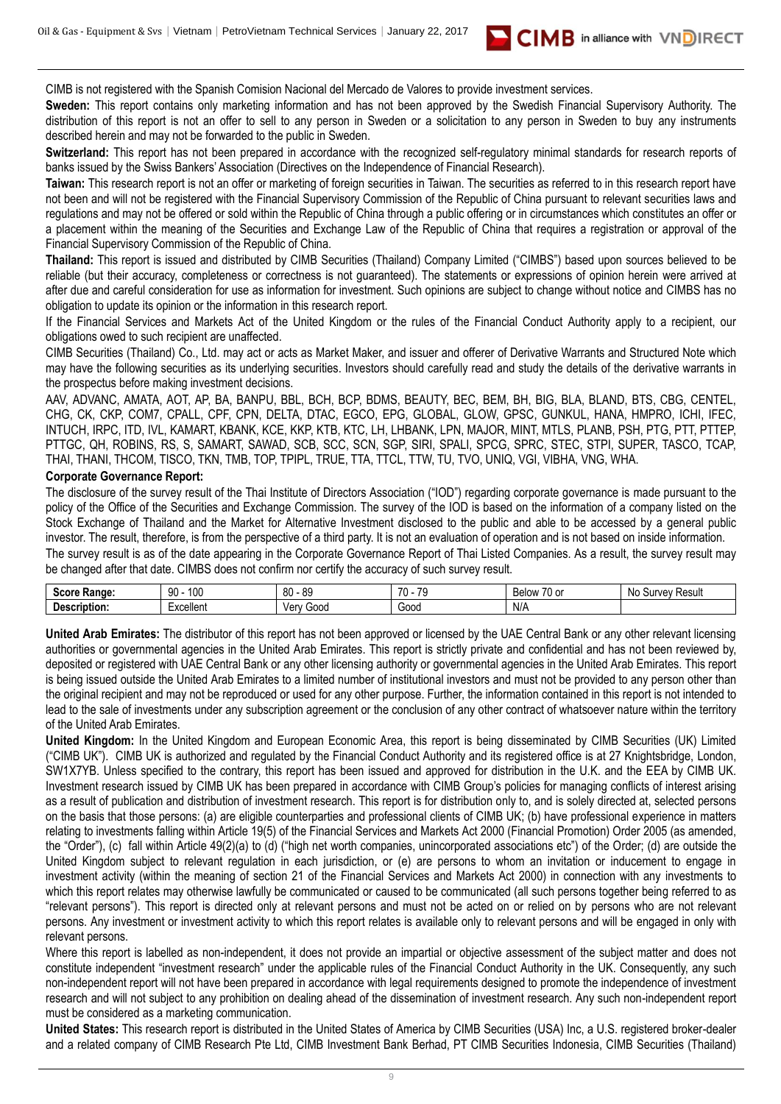CIMB is not registered with the Spanish Comision Nacional del Mercado de Valores to provide investment services.

**Sweden:** This report contains only marketing information and has not been approved by the Swedish Financial Supervisory Authority. The distribution of this report is not an offer to sell to any person in Sweden or a solicitation to any person in Sweden to buy any instruments described herein and may not be forwarded to the public in Sweden.

**CIMB** in alliance with VNDIRECT

**Switzerland:** This report has not been prepared in accordance with the recognized self-regulatory minimal standards for research reports of banks issued by the Swiss Bankers' Association (Directives on the Independence of Financial Research).

Taiwan: This research report is not an offer or marketing of foreign securities in Taiwan. The securities as referred to in this research report have not been and will not be registered with the Financial Supervisory Commission of the Republic of China pursuant to relevant securities laws and regulations and may not be offered or sold within the Republic of China through a public offering or in circumstances which constitutes an offer or a placement within the meaning of the Securities and Exchange Law of the Republic of China that requires a registration or approval of the Financial Supervisory Commission of the Republic of China.

**Thailand:** This report is issued and distributed by CIMB Securities (Thailand) Company Limited ("CIMBS") based upon sources believed to be reliable (but their accuracy, completeness or correctness is not guaranteed). The statements or expressions of opinion herein were arrived at after due and careful consideration for use as information for investment. Such opinions are subject to change without notice and CIMBS has no obligation to update its opinion or the information in this research report.

If the Financial Services and Markets Act of the United Kingdom or the rules of the Financial Conduct Authority apply to a recipient, our obligations owed to such recipient are unaffected.

CIMB Securities (Thailand) Co., Ltd. may act or acts as Market Maker, and issuer and offerer of Derivative Warrants and Structured Note which may have the following securities as its underlying securities. Investors should carefully read and study the details of the derivative warrants in the prospectus before making investment decisions.

AAV, ADVANC, AMATA, AOT, AP, BA, BANPU, BBL, BCH, BCP, BDMS, BEAUTY, BEC, BEM, BH, BIG, BLA, BLAND, BTS, CBG, CENTEL, CHG, CK, CKP, COM7, CPALL, CPF, CPN, DELTA, DTAC, EGCO, EPG, GLOBAL, GLOW, GPSC, GUNKUL, HANA, HMPRO, ICHI, IFEC, INTUCH, IRPC, ITD, IVL, KAMART, KBANK, KCE, KKP, KTB, KTC, LH, LHBANK, LPN, MAJOR, MINT, MTLS, PLANB, PSH, PTG, PTT, PTTEP, PTTGC, QH, ROBINS, RS, S, SAMART, SAWAD, SCB, SCC, SCN, SGP, SIRI, SPALI, SPCG, SPRC, STEC, STPI, SUPER, TASCO, TCAP, THAI, THANI, THCOM, TISCO, TKN, TMB, TOP, TPIPL, TRUE, TTA, TTCL, TTW, TU, TVO, UNIQ, VGI, VIBHA, VNG, WHA.

#### **Corporate Governance Report:**

The disclosure of the survey result of the Thai Institute of Directors Association ("IOD") regarding corporate governance is made pursuant to the policy of the Office of the Securities and Exchange Commission. The survey of the IOD is based on the information of a company listed on the Stock Exchange of Thailand and the Market for Alternative Investment disclosed to the public and able to be accessed by a general public investor. The result, therefore, is from the perspective of a third party. It is not an evaluation of operation and is not based on inside information.

The survey result is as of the date appearing in the Corporate Governance Report of Thai Listed Companies. As a result, the survey result may be changed after that date. CIMBS does not confirm nor certify the accuracy of such survey result.

| $S_{max}$<br>----<br>Rande | 100<br>۵n<br>1 U U<br>JU | .on<br>or<br>೦೭<br>υv | 70<br>$\rightarrow$<br>. | $\sim$ $\sim$<br>Beld<br>$\cdot$ $\sim$<br>эw<br>ו טש | Resul<br><b>NIC</b><br><b>INAV</b> |
|----------------------------|--------------------------|-----------------------|--------------------------|-------------------------------------------------------|------------------------------------|
| Dе<br>IDIION:              | Excellent                | Gooc<br>Ver           | Goog                     | N/A                                                   |                                    |

**United Arab Emirates:** The distributor of this report has not been approved or licensed by the UAE Central Bank or any other relevant licensing authorities or governmental agencies in the United Arab Emirates. This report is strictly private and confidential and has not been reviewed by, deposited or registered with UAE Central Bank or any other licensing authority or governmental agencies in the United Arab Emirates. This report is being issued outside the United Arab Emirates to a limited number of institutional investors and must not be provided to any person other than the original recipient and may not be reproduced or used for any other purpose. Further, the information contained in this report is not intended to lead to the sale of investments under any subscription agreement or the conclusion of any other contract of whatsoever nature within the territory of the United Arab Emirates.

**United Kingdom:** In the United Kingdom and European Economic Area, this report is being disseminated by CIMB Securities (UK) Limited ("CIMB UK"). CIMB UK is authorized and regulated by the Financial Conduct Authority and its registered office is at 27 Knightsbridge, London, SW1X7YB. Unless specified to the contrary, this report has been issued and approved for distribution in the U.K. and the EEA by CIMB UK. Investment research issued by CIMB UK has been prepared in accordance with CIMB Group's policies for managing conflicts of interest arising as a result of publication and distribution of investment research. This report is for distribution only to, and is solely directed at, selected persons on the basis that those persons: (a) are eligible counterparties and professional clients of CIMB UK; (b) have professional experience in matters relating to investments falling within Article 19(5) of the Financial Services and Markets Act 2000 (Financial Promotion) Order 2005 (as amended, the "Order"), (c) fall within Article 49(2)(a) to (d) ("high net worth companies, unincorporated associations etc") of the Order; (d) are outside the United Kingdom subject to relevant regulation in each jurisdiction, or (e) are persons to whom an invitation or inducement to engage in investment activity (within the meaning of section 21 of the Financial Services and Markets Act 2000) in connection with any investments to which this report relates may otherwise lawfully be communicated or caused to be communicated (all such persons together being referred to as "relevant persons"). This report is directed only at relevant persons and must not be acted on or relied on by persons who are not relevant persons. Any investment or investment activity to which this report relates is available only to relevant persons and will be engaged in only with relevant persons.

Where this report is labelled as non-independent, it does not provide an impartial or objective assessment of the subject matter and does not constitute independent "investment research" under the applicable rules of the Financial Conduct Authority in the UK. Consequently, any such non-independent report will not have been prepared in accordance with legal requirements designed to promote the independence of investment research and will not subject to any prohibition on dealing ahead of the dissemination of investment research. Any such non-independent report must be considered as a marketing communication.

**United States:** This research report is distributed in the United States of America by CIMB Securities (USA) Inc, a U.S. registered broker-dealer and a related company of CIMB Research Pte Ltd, CIMB Investment Bank Berhad, PT CIMB Securities Indonesia, CIMB Securities (Thailand)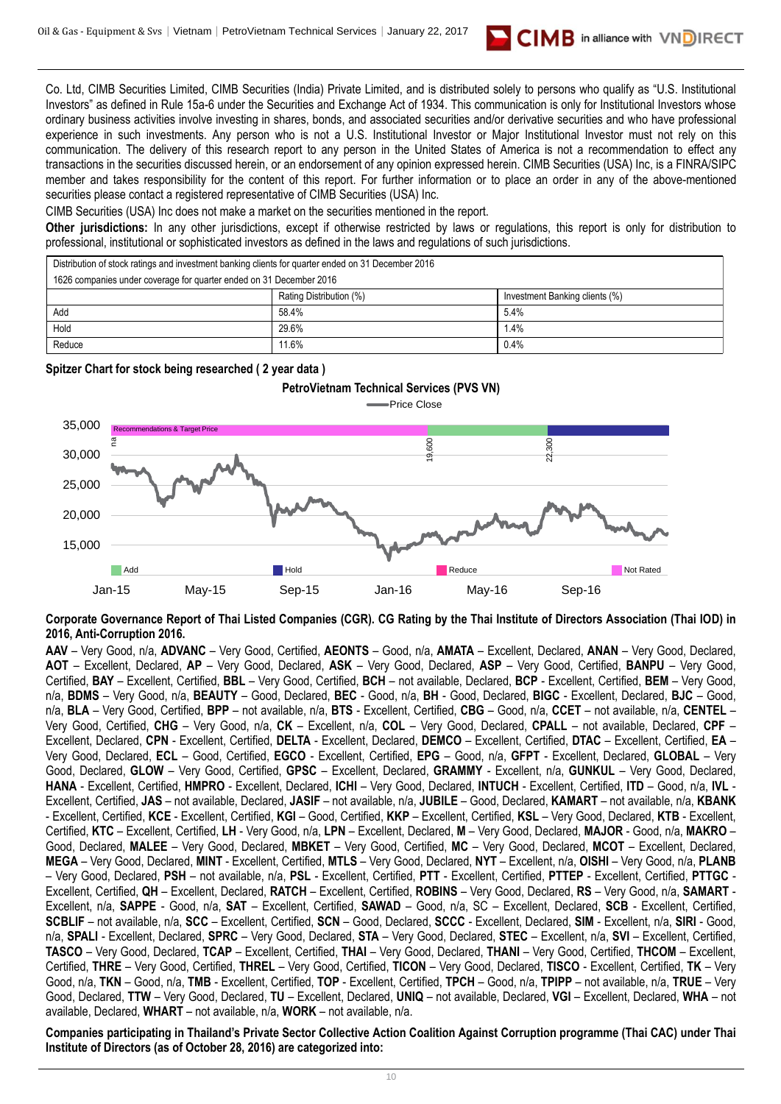

Co. Ltd, CIMB Securities Limited, CIMB Securities (India) Private Limited, and is distributed solely to persons who qualify as "U.S. Institutional Investors" as defined in Rule 15a-6 under the Securities and Exchange Act of 1934. This communication is only for Institutional Investors whose ordinary business activities involve investing in shares, bonds, and associated securities and/or derivative securities and who have professional experience in such investments. Any person who is not a U.S. Institutional Investor or Major Institutional Investor must not rely on this communication. The delivery of this research report to any person in the United States of America is not a recommendation to effect any transactions in the securities discussed herein, or an endorsement of any opinion expressed herein. CIMB Securities (USA) Inc, is a FINRA/SIPC member and takes responsibility for the content of this report. For further information or to place an order in any of the above-mentioned securities please contact a registered representative of CIMB Securities (USA) Inc.

CIMB Securities (USA) Inc does not make a market on the securities mentioned in the report.

**Other jurisdictions:** In any other jurisdictions, except if otherwise restricted by laws or regulations, this report is only for distribution to professional, institutional or sophisticated investors as defined in the laws and regulations of such jurisdictions.

| Distribution of stock ratings and investment banking clients for quarter ended on 31 December 2016 |                         |                                |  |  |  |
|----------------------------------------------------------------------------------------------------|-------------------------|--------------------------------|--|--|--|
| 1626 companies under coverage for quarter ended on 31 December 2016                                |                         |                                |  |  |  |
|                                                                                                    | Rating Distribution (%) | Investment Banking clients (%) |  |  |  |
| Add                                                                                                | 58.4%                   | 5.4%                           |  |  |  |
| Hold                                                                                               | 29.6%                   | 1.4%                           |  |  |  |
| Reduce                                                                                             | 11.6%                   | 0.4%                           |  |  |  |

#### **Spitzer Chart for stock being researched ( 2 year data )**



**Corporate Governance Report of Thai Listed Companies (CGR). CG Rating by the Thai Institute of Directors Association (Thai IOD) in 2016, Anti-Corruption 2016.**

**AAV** – Very Good, n/a, **ADVANC** – Very Good, Certified, **AEONTS** – Good, n/a, **AMATA** – Excellent, Declared, **ANAN** – Very Good, Declared, **AOT** – Excellent, Declared, **AP** – Very Good, Declared, **ASK** – Very Good, Declared, **ASP** – Very Good, Certified, **BANPU** – Very Good, Certified, **BAY** – Excellent, Certified, **BBL** – Very Good, Certified, **BCH** – not available, Declared, **BCP** - Excellent, Certified, **BEM** – Very Good, n/a, **BDMS** – Very Good, n/a, **BEAUTY** – Good, Declared, **BEC** - Good, n/a, **BH** - Good, Declared, **BIGC** - Excellent, Declared, **BJC** – Good, n/a, **BLA** – Very Good, Certified, **BPP** – not available, n/a, **BTS** - Excellent, Certified, **CBG** – Good, n/a, **CCET** – not available, n/a, **CENTEL** – Very Good, Certified, **CHG** – Very Good, n/a, **CK** – Excellent, n/a, **COL** – Very Good, Declared, **CPALL** – not available, Declared, **CPF** – Excellent, Declared, **CPN** - Excellent, Certified, **DELTA** - Excellent, Declared, **DEMCO** – Excellent, Certified, **DTAC** – Excellent, Certified, **EA** – Very Good, Declared, **ECL** – Good, Certified, **EGCO** - Excellent, Certified, **EPG** – Good, n/a, **GFPT** - Excellent, Declared, **GLOBAL** – Very Good, Declared, **GLOW** – Very Good, Certified, **GPSC** – Excellent, Declared, **GRAMMY** - Excellent, n/a, **GUNKUL** – Very Good, Declared, **HANA** - Excellent, Certified, **HMPRO** - Excellent, Declared, **ICHI** – Very Good, Declared, **INTUCH** - Excellent, Certified, **ITD** – Good, n/a, **IVL** - Excellent, Certified, **JAS** – not available, Declared, **JASIF** – not available, n/a, **JUBILE** – Good, Declared, **KAMART** – not available, n/a, **KBANK** - Excellent, Certified, **KCE** - Excellent, Certified, **KGI** – Good, Certified, **KKP** – Excellent, Certified, **KSL** – Very Good, Declared, **KTB** - Excellent, Certified, **KTC** – Excellent, Certified, **LH** - Very Good, n/a, **LPN** – Excellent, Declared, **M** – Very Good, Declared, **MAJOR** - Good, n/a, **MAKRO** – Good, Declared, **MALEE** – Very Good, Declared, **MBKET** – Very Good, Certified, **MC** – Very Good, Declared, **MCOT** – Excellent, Declared, **MEGA** – Very Good, Declared, **MINT** - Excellent, Certified, **MTLS** – Very Good, Declared, **NYT** – Excellent, n/a, **OISHI** – Very Good, n/a, **PLANB** – Very Good, Declared, **PSH** – not available, n/a, **PSL** - Excellent, Certified, **PTT** - Excellent, Certified, **PTTEP** - Excellent, Certified, **PTTGC** - Excellent, Certified, **QH** – Excellent, Declared, **RATCH** – Excellent, Certified, **ROBINS** – Very Good, Declared, **RS** – Very Good, n/a, **SAMART** - Excellent, n/a, **SAPPE** - Good, n/a, **SAT** – Excellent, Certified, **SAWAD** – Good, n/a, SC – Excellent, Declared, **SCB** - Excellent, Certified, **SCBLIF** – not available, n/a, **SCC** – Excellent, Certified, **SCN** – Good, Declared, **SCCC** - Excellent, Declared, **SIM** - Excellent, n/a, **SIRI** - Good, n/a, **SPALI** - Excellent, Declared, **SPRC** – Very Good, Declared, **STA** – Very Good, Declared, **STEC** – Excellent, n/a, **SVI** – Excellent, Certified, **TASCO** – Very Good, Declared, **TCAP** – Excellent, Certified, **THAI** – Very Good, Declared, **THANI** – Very Good, Certified, **THCOM** – Excellent, Certified, **THRE** – Very Good, Certified, **THREL** – Very Good, Certified, **TICON** – Very Good, Declared, **TISCO** - Excellent, Certified, **TK** – Very Good, n/a, **TKN** – Good, n/a, **TMB** - Excellent, Certified, **TOP** - Excellent, Certified, **TPCH** – Good, n/a, **TPIPP** – not available, n/a, **TRUE** – Very Good, Declared, **TTW** – Very Good, Declared, **TU** – Excellent, Declared, **UNIQ** – not available, Declared, **VGI** – Excellent, Declared, **WHA** – not available, Declared, **WHART** – not available, n/a, **WORK** – not available, n/a. **Institute of Directors (As of October 28, 2016)**<br> **Institute Channel Context Context Context Context Context Context Context Context Context Context Context Context Context Context Context Context Context Context Context** 

**Companies participating in Thailand's Private Sector Collective Action Coalition Against Corruption programme (Thai CAC) under Thai**